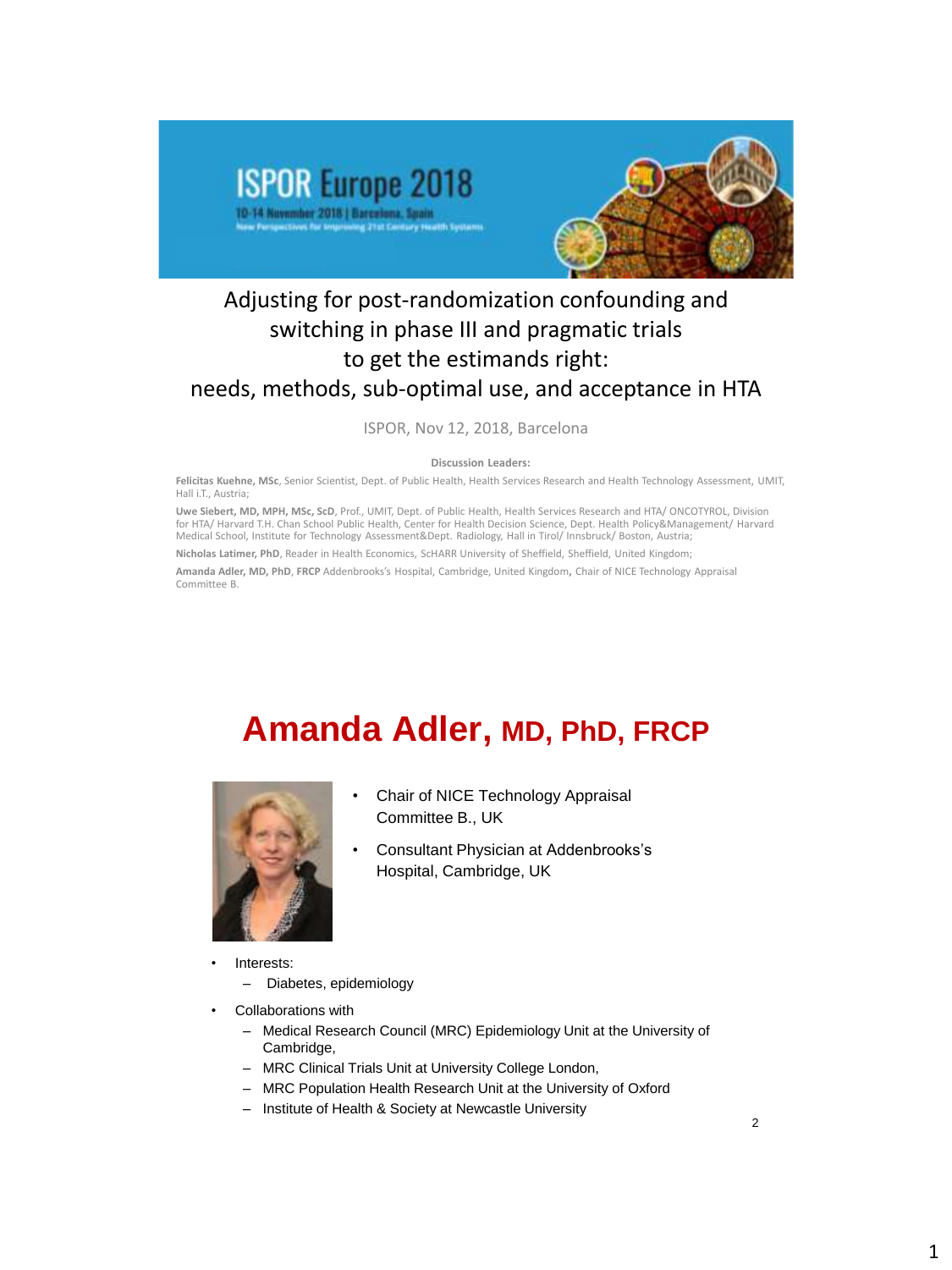

#### Adjusting for post-randomization confounding and switching in phase III and pragmatic trials to get the estimands right: needs, methods, sub-optimal use, and acceptance in HTA

ISPOR, Nov 12, 2018, Barcelona

**Discussion Leaders:** 

**Felicitas Kuehne, MSc**, Senior Scientist, Dept. of Public Health, Health Services Research and Health Technology Assessment, UMIT, Hall i.T., Austria;

**Uwe Siebert, MD, MPH, MSc, ScD**, Prof., UMIT, Dept. of Public Health, Health Services Research and HTA/ ONCOTYROL, Division for HTA/ Harvard T.H. Chan School Public Health, Center for Health Decision Science, Dept. Health Policy&Management/ Harvard Medical School, Institute for Technology Assessment&Dept. Radiology, Hall in Tirol/ Innsbruck/ Boston, Austria;

**Nicholas Latimer, PhD**, Reader in Health Economics, ScHARR University of Sheffield, Sheffield, United Kingdom;

**Amanda Adler, MD, PhD**, **FRCP** Addenbrooks's Hospital, Cambridge, United Kingdom**,** Chair of NICE Technology Appraisal Committee B.

# **Amanda Adler, MD, PhD, FRCP**



- Chair of NICE Technology Appraisal Committee B., UK
- Consultant Physician at Addenbrooks's Hospital, Cambridge, UK
- Interests:
	- Diabetes, epidemiology
- Collaborations with
	- Medical Research Council (MRC) Epidemiology Unit at the University of Cambridge,
	- MRC Clinical Trials Unit at University College London,
	- MRC Population Health Research Unit at the University of Oxford
	- Institute of Health & Society at Newcastle University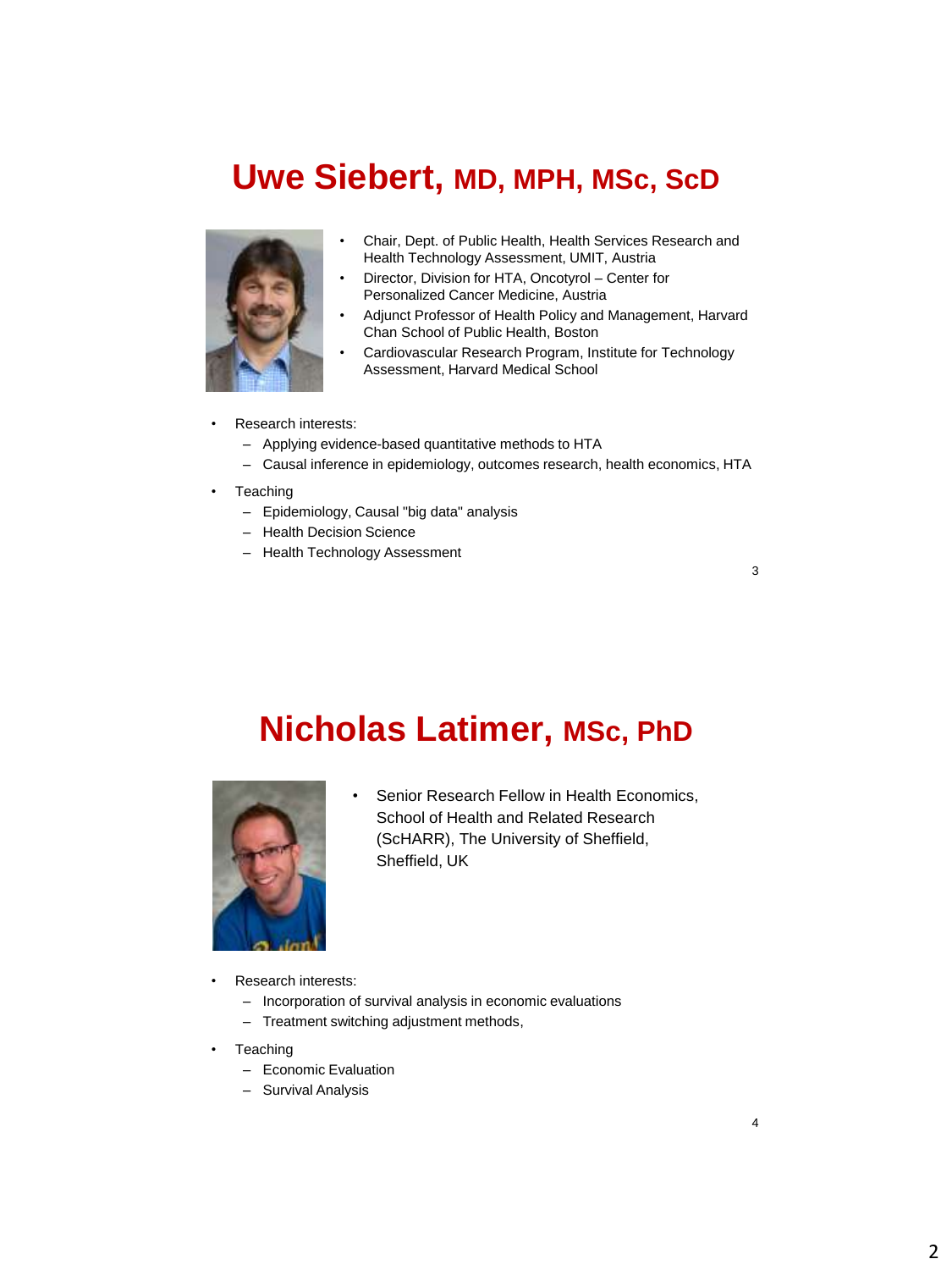### **Uwe Siebert, MD, MPH, MSc, ScD**



- Chair, Dept. of Public Health, Health Services Research and Health Technology Assessment, UMIT, Austria
- Director, Division for HTA, Oncotyrol Center for Personalized Cancer Medicine, Austria
- Adjunct Professor of Health Policy and Management, Harvard Chan School of Public Health, Boston
- Cardiovascular Research Program, Institute for Technology Assessment, Harvard Medical School
- Research interests:
	- Applying evidence-based quantitative methods to HTA
	- Causal inference in epidemiology, outcomes research, health economics, HTA
- **Teaching** 
	- Epidemiology, Causal "big data" analysis
	- Health Decision Science
	- Health Technology Assessment

3

## **Nicholas Latimer, MSc, PhD**



- Senior Research Fellow in Health Economics, School of Health and Related Research (ScHARR), The University of Sheffield, Sheffield, UK
- Research interests:
	- Incorporation of survival analysis in economic evaluations
	- Treatment switching adjustment methods,
- **Teaching** 
	- Economic Evaluation
	- Survival Analysis